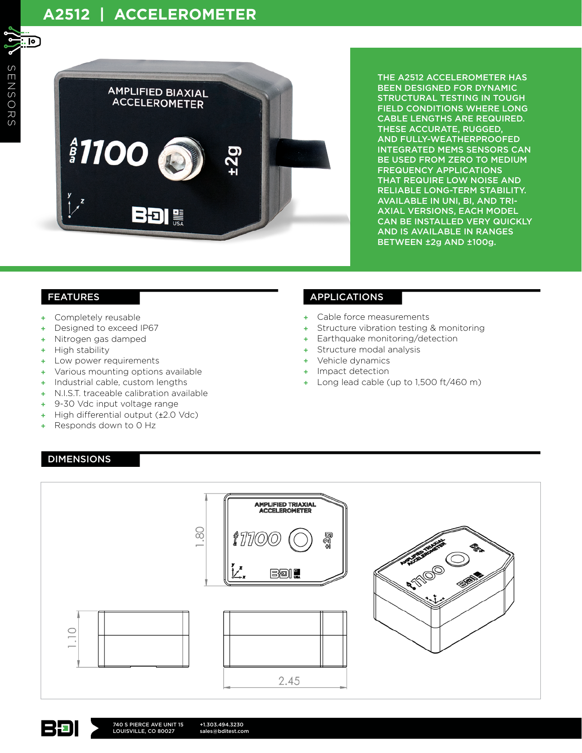

THE A2512 ACCELEROMETER HAS BEEN DESIGNED FOR DYNAMIC STRUCTURAL TESTING IN TOUGH FIELD CONDITIONS WHERE LONG CABLE LENGTHS ARE REQUIRED. THESE ACCURATE, RUGGED, AND FULLY-WEATHERPROOFED INTEGRATED MEMS SENSORS CAN BE USED FROM ZERO TO MEDIUM FREQUENCY APPLICATIONS THAT REQUIRE LOW NOISE AND RELIABLE LONG-TERM STABILITY. AVAILABLE IN UNI, BI, AND TRI-AXIAL VERSIONS, EACH MODEL CAN BE INSTALLED VERY QUICKLY AND IS AVAILABLE IN RANGES BETWEEN ±2g AND ±100g.

- + Completely reusable
- Designed to exceed IP67
- + Nitrogen gas damped
- High stability
- Low power requirements
- + Various mounting options available
- + Industrial cable, custom lengths
- + N.I.S.T. traceable calibration available
- 9-30 Vdc input voltage range
- High differential output (±2.0 Vdc)
- Responds down to 0 Hz

## FEATURES APPLICATIONS

- + Cable force measurements
- Structure vibration testing & monitoring
- + Earthquake monitoring/detection
- Structure modal analysis
- Vehicle dynamics
- + Impact detection
- + Long lead cable (up to 1,500 ft/460 m)

## DIMENSIONS